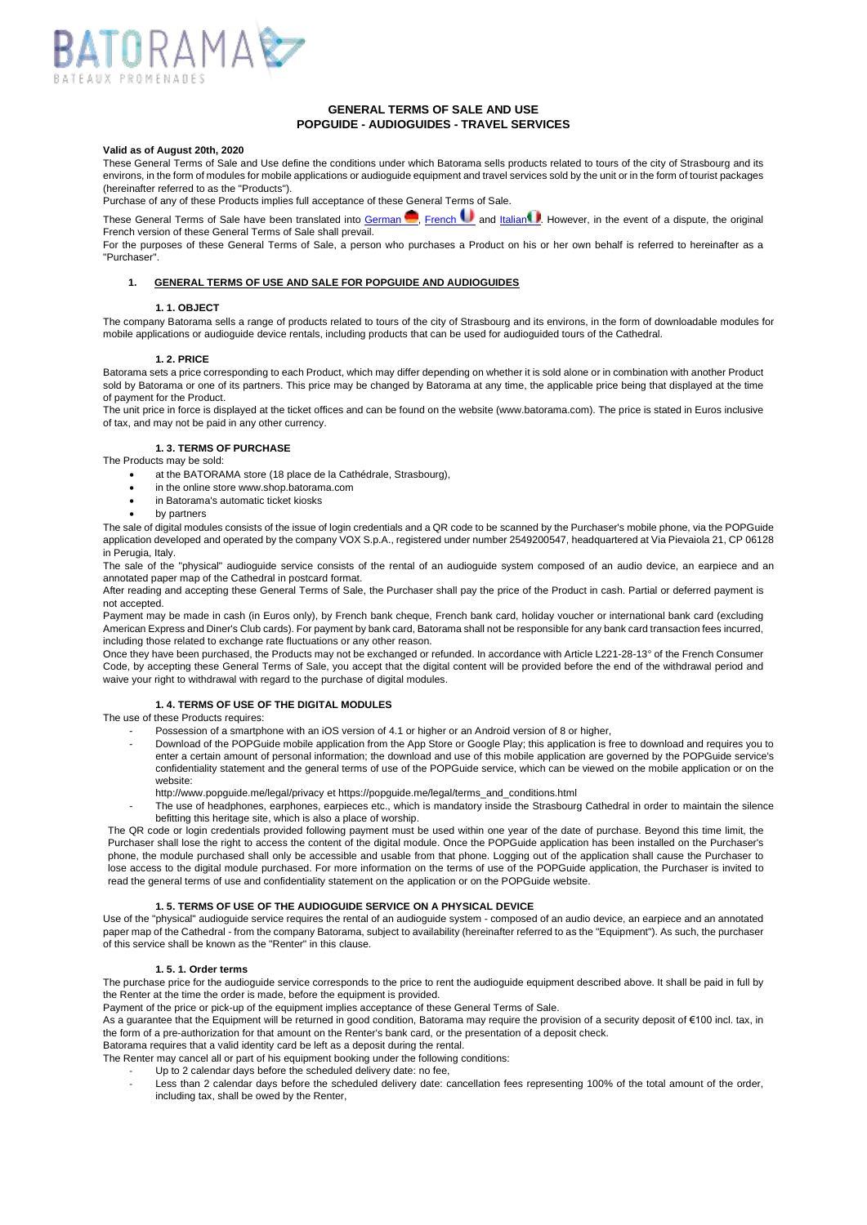

# **GENERAL TERMS OF SALE AND USE POPGUIDE - AUDIOGUIDES - TRAVEL SERVICES**

# **Valid as of August 20th, 2020**

These General Terms of Sale and Use define the conditions under which Batorama sells products related to tours of the city of Strasbourg and its environs, in the form of modules for mobile applications or audioguide equipment and travel services sold by the unit or in the form of tourist packages (hereinafter referred to as the "Products").

Purchase of any of these Products implies full acceptance of these General Terms of Sale.

These General Terms of Sale have been translated into [German](https://shop.batorama.com/externalData/protee/cgl_audiophone_de.pdf) **and [French](https://shop.batorama.com/externalData/protee/cgl_audiophone_fr.pdf) U** and [Italian](https://shop.batorama.com/externalData/protee/cgl_audiophone_it.pdf) **P**. However, in the event of a dispute, the original French version of these General Terms of Sale shall prevail.

For the purposes of these General Terms of Sale, a person who purchases a Product on his or her own behalf is referred to hereinafter as a "Purchaser".

# **1. GENERAL TERMS OF USE AND SALE FOR POPGUIDE AND AUDIOGUIDES**

### **1. 1. OBJECT**

The company Batorama sells a range of products related to tours of the city of Strasbourg and its environs, in the form of downloadable modules for mobile applications or audioguide device rentals, including products that can be used for audioguided tours of the Cathedral.

### **1. 2. PRICE**

Batorama sets a price corresponding to each Product, which may differ depending on whether it is sold alone or in combination with another Product sold by Batorama or one of its partners. This price may be changed by Batorama at any time, the applicable price being that displayed at the time of payment for the Product.

The unit price in force is displayed at the ticket offices and can be found on the website (www.batorama.com). The price is stated in Euros inclusive of tax, and may not be paid in any other currency.

## **1. 3. TERMS OF PURCHASE**

The Products may be sold:

- at the BATORAMA store (18 place de la Cathédrale, Strasbourg),
- in the online store www.shop.batorama.com
- in Batorama's automatic ticket kiosks
- by partners

The sale of digital modules consists of the issue of login credentials and a QR code to be scanned by the Purchaser's mobile phone, via the POPGuide application developed and operated by the company VOX S.p.A., registered under number 2549200547, headquartered at Via Pievaiola 21, CP 06128 in Perugia, Italy.

The sale of the "physical" audioguide service consists of the rental of an audioguide system composed of an audio device, an earpiece and an annotated paper map of the Cathedral in postcard format.

After reading and accepting these General Terms of Sale, the Purchaser shall pay the price of the Product in cash. Partial or deferred payment is not accepted.

Payment may be made in cash (in Euros only), by French bank cheque, French bank card, holiday voucher or international bank card (excluding American Express and Diner's Club cards). For payment by bank card, Batorama shall not be responsible for any bank card transaction fees incurred, including those related to exchange rate fluctuations or any other reason.

Once they have been purchased, the Products may not be exchanged or refunded. In accordance with Article L221-28-13° of the French Consumer Code, by accepting these General Terms of Sale, you accept that the digital content will be provided before the end of the withdrawal period and waive your right to withdrawal with regard to the purchase of digital modules.

# **1. 4. TERMS OF USE OF THE DIGITAL MODULES**

The use of these Products requires:

- Possession of a smartphone with an iOS version of 4.1 or higher or an Android version of 8 or higher,
	- Download of the POPGuide mobile application from the App Store or Google Play; this application is free to download and requires you to enter a certain amount of personal information; the download and use of this mobile application are governed by the POPGuide service's confidentiality statement and the general terms of use of the POPGuide service, which can be viewed on the mobile application or on the website:
	- http://www.popguide.me/legal/privacy et https://popguide.me/legal/terms\_and\_conditions.html
- The use of headphones, earphones, earpieces etc., which is mandatory inside the Strasbourg Cathedral in order to maintain the silence befitting this heritage site, which is also a place of worship.

The QR code or login credentials provided following payment must be used within one year of the date of purchase. Beyond this time limit, the Purchaser shall lose the right to access the content of the digital module. Once the POPGuide application has been installed on the Purchaser's phone, the module purchased shall only be accessible and usable from that phone. Logging out of the application shall cause the Purchaser to lose access to the digital module purchased. For more information on the terms of use of the POPGuide application, the Purchaser is invited to read the general terms of use and confidentiality statement on the application or on the POPGuide website.

## **1. 5. TERMS OF USE OF THE AUDIOGUIDE SERVICE ON A PHYSICAL DEVICE**

Use of the "physical" audioguide service requires the rental of an audioguide system - composed of an audio device, an earpiece and an annotated paper map of the Cathedral - from the company Batorama, subject to availability (hereinafter referred to as the "Equipment"). As such, the purchaser of this service shall be known as the "Renter" in this clause.

#### **1. 5. 1. Order terms**

The purchase price for the audioguide service corresponds to the price to rent the audioguide equipment described above. It shall be paid in full by the Renter at the time the order is made, before the equipment is provided.

Payment of the price or pick-up of the equipment implies acceptance of these General Terms of Sale.

As a guarantee that the Equipment will be returned in good condition, Batorama may require the provision of a security deposit of €100 incl. tax, in the form of a pre-authorization for that amount on the Renter's bank card, or the presentation of a deposit check.

Batorama requires that a valid identity card be left as a deposit during the rental.

- The Renter may cancel all or part of his equipment booking under the following conditions:
	- Up to 2 calendar days before the scheduled delivery date: no fee,
	- Less than 2 calendar days before the scheduled delivery date: cancellation fees representing 100% of the total amount of the order, including tax, shall be owed by the Renter,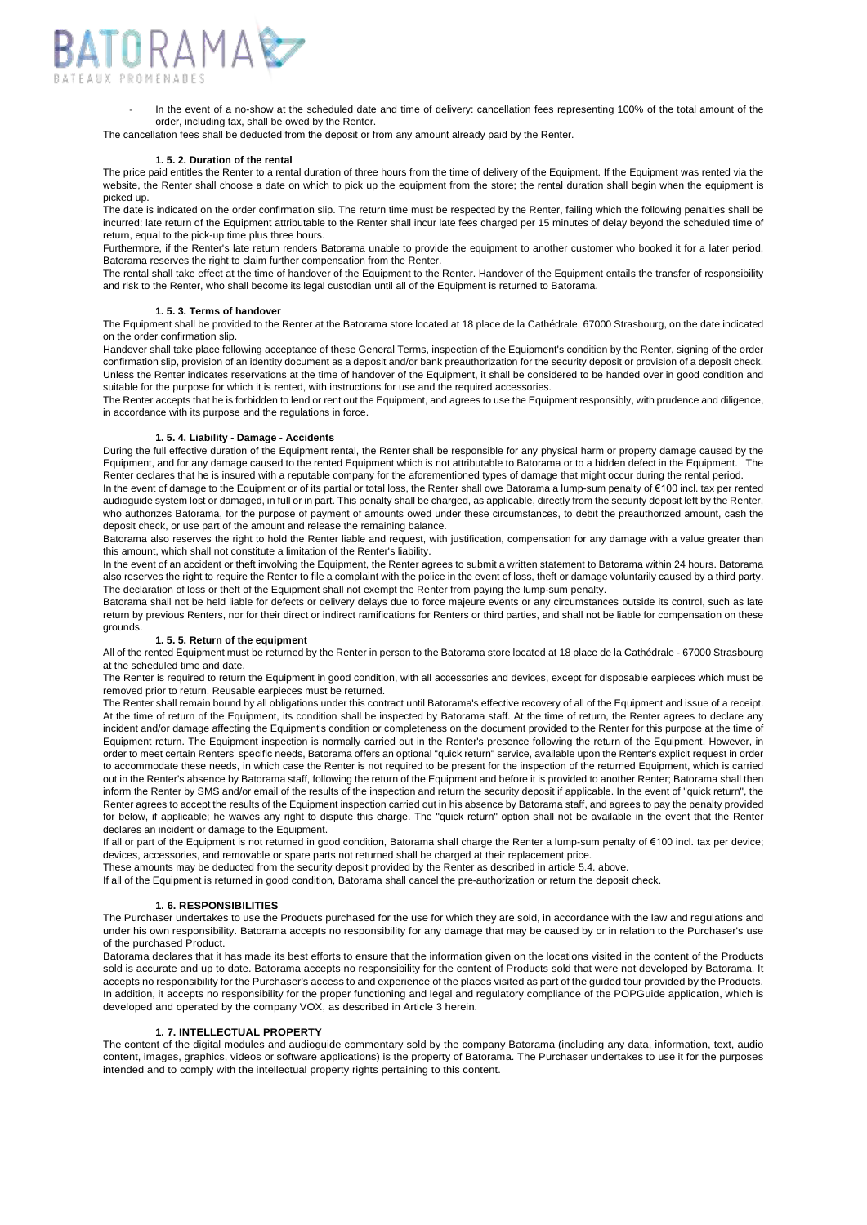

In the event of a no-show at the scheduled date and time of delivery: cancellation fees representing 100% of the total amount of the order, including tax, shall be owed by the Renter.

The cancellation fees shall be deducted from the deposit or from any amount already paid by the Renter.

#### **1. 5. 2. Duration of the rental**

The price paid entitles the Renter to a rental duration of three hours from the time of delivery of the Equipment. If the Equipment was rented via the website, the Renter shall choose a date on which to pick up the equipment from the store; the rental duration shall begin when the equipment is picked up.

The date is indicated on the order confirmation slip. The return time must be respected by the Renter, failing which the following penalties shall be incurred: late return of the Equipment attributable to the Renter shall incur late fees charged per 15 minutes of delay beyond the scheduled time of return, equal to the pick-up time plus three hours.

Furthermore, if the Renter's late return renders Batorama unable to provide the equipment to another customer who booked it for a later period, Batorama reserves the right to claim further compensation from the Renter.

The rental shall take effect at the time of handover of the Equipment to the Renter. Handover of the Equipment entails the transfer of responsibility and risk to the Renter, who shall become its legal custodian until all of the Equipment is returned to Batorama.

## **1. 5. 3. Terms of handover**

The Equipment shall be provided to the Renter at the Batorama store located at 18 place de la Cathédrale, 67000 Strasbourg, on the date indicated on the order confirmation slip.

Handover shall take place following acceptance of these General Terms, inspection of the Equipment's condition by the Renter, signing of the order confirmation slip, provision of an identity document as a deposit and/or bank preauthorization for the security deposit or provision of a deposit check. Unless the Renter indicates reservations at the time of handover of the Equipment, it shall be considered to be handed over in good condition and suitable for the purpose for which it is rented, with instructions for use and the required accessories.

The Renter accepts that he is forbidden to lend or rent out the Equipment, and agrees to use the Equipment responsibly, with prudence and diligence, in accordance with its purpose and the regulations in force.

## **1. 5. 4. Liability - Damage - Accidents**

During the full effective duration of the Equipment rental, the Renter shall be responsible for any physical harm or property damage caused by the Equipment, and for any damage caused to the rented Equipment which is not attributable to Batorama or to a hidden defect in the Equipment. The Renter declares that he is insured with a reputable company for the aforementioned types of damage that might occur during the rental period.

In the event of damage to the Equipment or of its partial or total loss, the Renter shall owe Batorama a lump-sum penalty of €100 incl. tax per rented audioguide system lost or damaged, in full or in part. This penalty shall be charged, as applicable, directly from the security deposit left by the Renter, who authorizes Batorama, for the purpose of payment of amounts owed under these circumstances, to debit the preauthorized amount, cash the deposit check, or use part of the amount and release the remaining balance.

Batorama also reserves the right to hold the Renter liable and request, with justification, compensation for any damage with a value greater than this amount, which shall not constitute a limitation of the Renter's liability.

In the event of an accident or theft involving the Equipment, the Renter agrees to submit a written statement to Batorama within 24 hours. Batorama also reserves the right to require the Renter to file a complaint with the police in the event of loss, theft or damage voluntarily caused by a third party. The declaration of loss or theft of the Equipment shall not exempt the Renter from paying the lump-sum penalty.

Batorama shall not be held liable for defects or delivery delays due to force majeure events or any circumstances outside its control, such as late return by previous Renters, nor for their direct or indirect ramifications for Renters or third parties, and shall not be liable for compensation on these grounds.

### **1. 5. 5. Return of the equipment**

All of the rented Equipment must be returned by the Renter in person to the Batorama store located at 18 place de la Cathédrale - 67000 Strasbourg at the scheduled time and date.

The Renter is required to return the Equipment in good condition, with all accessories and devices, except for disposable earpieces which must be removed prior to return. Reusable earpieces must be returned.

The Renter shall remain bound by all obligations under this contract until Batorama's effective recovery of all of the Equipment and issue of a receipt. At the time of return of the Equipment, its condition shall be inspected by Batorama staff. At the time of return, the Renter agrees to declare any incident and/or damage affecting the Equipment's condition or completeness on the document provided to the Renter for this purpose at the time of Equipment return. The Equipment inspection is normally carried out in the Renter's presence following the return of the Equipment. However, in order to meet certain Renters' specific needs, Batorama offers an optional "quick return" service, available upon the Renter's explicit request in order to accommodate these needs, in which case the Renter is not required to be present for the inspection of the returned Equipment, which is carried out in the Renter's absence by Batorama staff, following the return of the Equipment and before it is provided to another Renter; Batorama shall then inform the Renter by SMS and/or email of the results of the inspection and return the security deposit if applicable. In the event of "quick return", the Renter agrees to accept the results of the Equipment inspection carried out in his absence by Batorama staff, and agrees to pay the penalty provided for below, if applicable; he waives any right to dispute this charge. The "quick return" option shall not be available in the event that the Renter declares an incident or damage to the Equipment.

If all or part of the Equipment is not returned in good condition, Batorama shall charge the Renter a lump-sum penalty of €100 incl. tax per device; devices, accessories, and removable or spare parts not returned shall be charged at their replacement price.

These amounts may be deducted from the security deposit provided by the Renter as described in article 5.4. above.

If all of the Equipment is returned in good condition, Batorama shall cancel the pre-authorization or return the deposit check.

## **1. 6. RESPONSIBILITIES**

The Purchaser undertakes to use the Products purchased for the use for which they are sold, in accordance with the law and regulations and under his own responsibility. Batorama accepts no responsibility for any damage that may be caused by or in relation to the Purchaser's use of the purchased Product.

Batorama declares that it has made its best efforts to ensure that the information given on the locations visited in the content of the Products sold is accurate and up to date. Batorama accepts no responsibility for the content of Products sold that were not developed by Batorama. It accepts no responsibility for the Purchaser's access to and experience of the places visited as part of the guided tour provided by the Products. In addition, it accepts no responsibility for the proper functioning and legal and regulatory compliance of the POPGuide application, which is developed and operated by the company VOX, as described in Article 3 herein.

# **1. 7. INTELLECTUAL PROPERTY**

The content of the digital modules and audioguide commentary sold by the company Batorama (including any data, information, text, audio content, images, graphics, videos or software applications) is the property of Batorama. The Purchaser undertakes to use it for the purposes intended and to comply with the intellectual property rights pertaining to this content.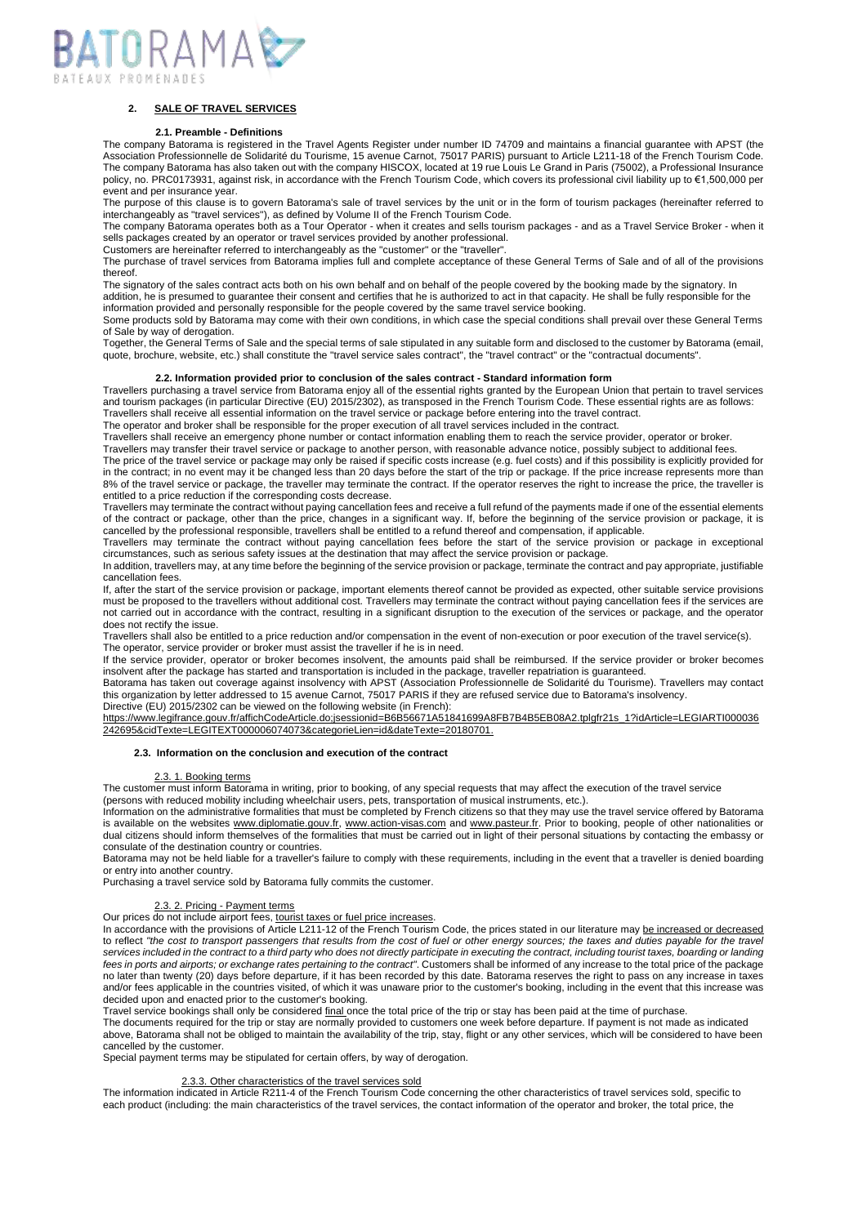

# **2. SALE OF TRAVEL SERVICES**

#### **2.1. Preamble - Definitions**

The company Batorama is registered in the Travel Agents Register under number ID 74709 and maintains a financial guarantee with APST (the Association Professionnelle de Solidarité du Tourisme, 15 avenue Carnot, 75017 PARIS) pursuant to Article L211-18 of the French Tourism Code. The company Batorama has also taken out with the company HISCOX, located at 19 rue Louis Le Grand in Paris (75002), a Professional Insurance policy, no. PRC0173931, against risk, in accordance with the French Tourism Code, which covers its professional civil liability up to €1,500,000 per event and per insurance year.

The purpose of this clause is to govern Batorama's sale of travel services by the unit or in the form of tourism packages (hereinafter referred to interchangeably as "travel services"), as defined by Volume II of the French Tourism Code.

The company Batorama operates both as a Tour Operator - when it creates and sells tourism packages - and as a Travel Service Broker - when it sells packages created by an operator or travel services provided by another professional. Customers are hereinafter referred to interchangeably as the "customer" or the "traveller".

The purchase of travel services from Batorama implies full and complete acceptance of these General Terms of Sale and of all of the provisions thereof.

The signatory of the sales contract acts both on his own behalf and on behalf of the people covered by the booking made by the signatory. In addition, he is presumed to guarantee their consent and certifies that he is authorized to act in that capacity. He shall be fully responsible for the

information provided and personally responsible for the people covered by the same travel service booking.

Some products sold by Batorama may come with their own conditions, in which case the special conditions shall prevail over these General Terms of Sale by way of derogation.

Together, the General Terms of Sale and the special terms of sale stipulated in any suitable form and disclosed to the customer by Batorama (email, quote, brochure, website, etc.) shall constitute the "travel service sales contract", the "travel contract" or the "contractual documents".

### **2.2. Information provided prior to conclusion of the sales contract - Standard information form**

Travellers purchasing a travel service from Batorama enjoy all of the essential rights granted by the European Union that pertain to travel services and tourism packages (in particular Directive (EU) 2015/2302), as transposed in the French Tourism Code. These essential rights are as follows: Travellers shall receive all essential information on the travel service or package before entering into the travel contract.

The operator and broker shall be responsible for the proper execution of all travel services included in the contract.

Travellers shall receive an emergency phone number or contact information enabling them to reach the service provider, operator or broker.

Travellers may transfer their travel service or package to another person, with reasonable advance notice, possibly subject to additional fees. The price of the travel service or package may only be raised if specific costs increase (e.g. fuel costs) and if this possibility is explicitly provided for in the contract; in no event may it be changed less than 20 days before the start of the trip or package. If the price increase represents more than 8% of the travel service or package, the traveller may terminate the contract. If the operator reserves the right to increase the price, the traveller is entitled to a price reduction if the corresponding costs decrease.

Travellers may terminate the contract without paying cancellation fees and receive a full refund of the payments made if one of the essential elements of the contract or package, other than the price, changes in a significant way. If, before the beginning of the service provision or package, it is cancelled by the professional responsible, travellers shall be entitled to a refund thereof and compensation, if applicable.

Travellers may terminate the contract without paying cancellation fees before the start of the service provision or package in exceptional circumstances, such as serious safety issues at the destination that may affect the service provision or package.

In addition, travellers may, at any time before the beginning of the service provision or package, terminate the contract and pay appropriate, justifiable cancellation fees.

If, after the start of the service provision or package, important elements thereof cannot be provided as expected, other suitable service provisions must be proposed to the travellers without additional cost. Travellers may terminate the contract without paying cancellation fees if the services are not carried out in accordance with the contract, resulting in a significant disruption to the execution of the services or package, and the operator does not rectify the issue.

Travellers shall also be entitled to a price reduction and/or compensation in the event of non-execution or poor execution of the travel service(s). The operator, service provider or broker must assist the traveller if he is in need.

If the service provider, operator or broker becomes insolvent, the amounts paid shall be reimbursed. If the service provider or broker becomes insolvent after the package has started and transportation is included in the package, traveller repatriation is guaranteed.

Batorama has taken out coverage against insolvency with APST (Association Professionnelle de Solidarité du Tourisme). Travellers may contact this organization by letter addressed to 15 avenue Carnot, 75017 PARIS if they are refused service due to Batorama's insolvency.

Directive (EU) 2015/2302 can be viewed on the following website (in French):

[https://www.legifrance.gouv.fr/affichCodeArticle.do;jsessionid=B6B56671A51841699A8FB7B4B5EB08A2.tplgfr21s\\_1?idArticle=LEGIARTI000036](https://www.legifrance.gouv.fr/affichCodeArticle.do;jsessionid=B6B56671A51841699A8FB7B4B5EB08A2.tplgfr21s_1?idArticle=LEGIARTI000036242695&cidTexte=LEGITEXT000006074073&categorieLien=id&dateTexte=20180701) [242695&cidTexte=LEGITEXT000006074073&categorieLien=id&dateTexte=20180701.](https://www.legifrance.gouv.fr/affichCodeArticle.do;jsessionid=B6B56671A51841699A8FB7B4B5EB08A2.tplgfr21s_1?idArticle=LEGIARTI000036242695&cidTexte=LEGITEXT000006074073&categorieLien=id&dateTexte=20180701)

### **2.3. Information on the conclusion and execution of the contract**

#### 2.3. 1. Booking terms

The customer must inform Batorama in writing, prior to booking, of any special requests that may affect the execution of the travel service (persons with reduced mobility including wheelchair users, pets, transportation of musical instruments, etc.).

Information on the administrative formalities that must be completed by French citizens so that they may use the travel service offered by Batorama is available on the websites [www.diplomatie.gouv.fr,](https://www.diplomatie.gouv.fr/fr/) [www.action-visas.com](https://www.action-visas.com/index.aspx) and [www.pasteur.fr.](https://www.pasteur.fr/fr) Prior to booking, people of other nationalities or dual citizens should inform themselves of the formalities that must be carried out in light of their personal situations by contacting the embassy or consulate of the destination country or countries.

Batorama may not be held liable for a traveller's failure to comply with these requirements, including in the event that a traveller is denied boarding or entry into another country.

Purchasing a travel service sold by Batorama fully commits the customer.

## 2.3. 2. Pricing - Payment terms

Our prices do not include airport fees, tourist taxes or fuel price increases.

In accordance with the provisions of Article L211-12 of the French Tourism Code, the prices stated in our literature may be increased or decreased to reflect "the cost to transport passengers that results from the cost of fuel or other energy sources; the taxes and duties payable for the trave services included in the contract to a third party who does not directly participate in executing the contract, including tourist taxes, boarding or landing fees in ports and airports; or exchange rates pertaining to the contract". Customers shall be informed of any increase to the total price of the package no later than twenty (20) days before departure, if it has been recorded by this date. Batorama reserves the right to pass on any increase in taxes and/or fees applicable in the countries visited, of which it was unaware prior to the customer's booking, including in the event that this increase was decided upon and enacted prior to the customer's booking.

Travel service bookings shall only be considered final once the total price of the trip or stay has been paid at the time of purchase.

The documents required for the trip or stay are normally provided to customers one week before departure. If payment is not made as indicated above, Batorama shall not be obliged to maintain the availability of the trip, stay, flight or any other services, which will be considered to have been cancelled by the customer.

Special payment terms may be stipulated for certain offers, by way of derogation.

#### 2.3.3. Other characteristics of the travel services sold

The information indicated in Article R211-4 of the French Tourism Code concerning the other characteristics of travel services sold, specific to each product (including: the main characteristics of the travel services, the contact information of the operator and broker, the total price, the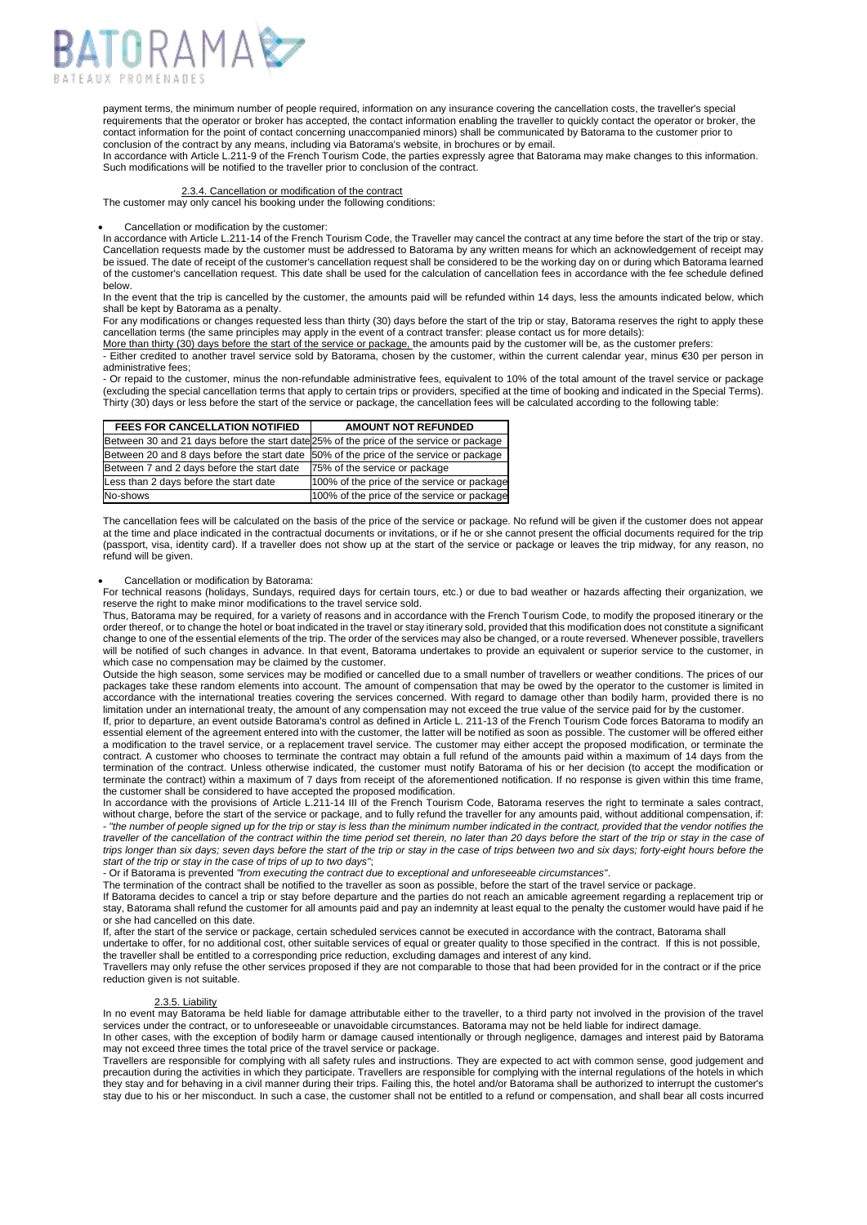

payment terms, the minimum number of people required, information on any insurance covering the cancellation costs, the traveller's special requirements that the operator or broker has accepted, the contact information enabling the traveller to quickly contact the operator or broker, the contact information for the point of contact concerning unaccompanied minors) shall be communicated by Batorama to the customer prior to conclusion of the contract by any means, including via Batorama's website, in brochures or by email.

In accordance with Article L.211-9 of the French Tourism Code, the parties expressly agree that Batorama may make changes to this information. Such modifications will be notified to the traveller prior to conclusion of the contract.

## 2.3.4. Cancellation or modification of the contract

The customer may only cancel his booking under the following conditions:

# • Cancellation or modification by the customer:

In accordance with Article L.211-14 of the French Tourism Code, the Traveller may cancel the contract at any time before the start of the trip or stay. Cancellation requests made by the customer must be addressed to Batorama by any written means for which an acknowledgement of receipt may be issued. The date of receipt of the customer's cancellation request shall be considered to be the working day on or during which Batorama learned of the customer's cancellation request. This date shall be used for the calculation of cancellation fees in accordance with the fee schedule defined below.

In the event that the trip is cancelled by the customer, the amounts paid will be refunded within 14 days, less the amounts indicated below, which shall be kept by Batorama as a penalty.

For any modifications or changes requested less than thirty (30) days before the start of the trip or stay, Batorama reserves the right to apply these cancellation terms (the same principles may apply in the event of a contract transfer: please contact us for more details):

More than thirty (30) days before the start of the service or package, the amounts paid by the customer will be, as the customer prefers:

- Either credited to another travel service sold by Batorama, chosen by the customer, within the current calendar year, minus €30 per person in administrative fees;

- Or repaid to the customer, minus the non-refundable administrative fees, equivalent to 10% of the total amount of the travel service or package (excluding the special cancellation terms that apply to certain trips or providers, specified at the time of booking and indicated in the Special Terms). Thirty (30) days or less before the start of the service or package, the cancellation fees will be calculated according to the following table:

| <b>FEES FOR CANCELLATION NOTIFIED</b>                                                   | <b>AMOUNT NOT REFUNDED</b>                  |
|-----------------------------------------------------------------------------------------|---------------------------------------------|
| Between 30 and 21 days before the start date 25% of the price of the service or package |                                             |
| Between 20 and 8 days before the start date 50% of the price of the service or package  |                                             |
| Between 7 and 2 days before the start date                                              | 75% of the service or package               |
| Less than 2 days before the start date                                                  | 100% of the price of the service or package |
| No-shows                                                                                | 100% of the price of the service or package |

The cancellation fees will be calculated on the basis of the price of the service or package. No refund will be given if the customer does not appear at the time and place indicated in the contractual documents or invitations, or if he or she cannot present the official documents required for the trip (passport, visa, identity card). If a traveller does not show up at the start of the service or package or leaves the trip midway, for any reason, no refund will be given.

# • Cancellation or modification by Batorama:

For technical reasons (holidays, Sundays, required days for certain tours, etc.) or due to bad weather or hazards affecting their organization, we reserve the right to make minor modifications to the travel service sold.

Thus, Batorama may be required, for a variety of reasons and in accordance with the French Tourism Code, to modify the proposed itinerary or the order thereof, or to change the hotel or boat indicated in the travel or stay itinerary sold, provided that this modification does not constitute a significant change to one of the essential elements of the trip. The order of the services may also be changed, or a route reversed. Whenever possible, travellers will be notified of such changes in advance. In that event, Batorama undertakes to provide an equivalent or superior service to the customer, in which case no compensation may be claimed by the customer.

Outside the high season, some services may be modified or cancelled due to a small number of travellers or weather conditions. The prices of our packages take these random elements into account. The amount of compensation that may be owed by the operator to the customer is limited in accordance with the international treaties covering the services concerned. With regard to damage other than bodily harm, provided there is no limitation under an international treaty, the amount of any compensation may not exceed the true value of the service paid for by the customer

If, prior to departure, an event outside Batorama's control as defined in Article L. 211-13 of the French Tourism Code forces Batorama to modify an essential element of the agreement entered into with the customer, the latter will be notified as soon as possible. The customer will be offered either a modification to the travel service, or a replacement travel service. The customer may either accept the proposed modification, or terminate the contract. A customer who chooses to terminate the contract may obtain a full refund of the amounts paid within a maximum of 14 days from the termination of the contract. Unless otherwise indicated, the customer must notify Batorama of his or her decision (to accept the modification or terminate the contract) within a maximum of 7 days from receipt of the aforementioned notification. If no response is given within this time frame, the customer shall be considered to have accepted the proposed modification.

In accordance with the provisions of Article L.211-14 III of the French Tourism Code, Batorama reserves the right to terminate a sales contract, without charge, before the start of the service or package, and to fully refund the traveller for any amounts paid, without additional compensation, if: - "the number of people signed up for the trip or stay is less than the minimum number indicated in the contract, provided that the vendor notifies the traveller of the cancellation of the contract within the time period set therein, no later than 20 days before the start of the trip or stay in the case oi trips longer than six days; seven days before the start of the trip or stay in the case of trips between two and six days; forty-eight hours before the *start of the trip or stay in the case of trips of up to two days"*;

- Or if Batorama is prevented *"from executing the contract due to exceptional and unforeseeable circumstances"*.

The termination of the contract shall be notified to the traveller as soon as possible, before the start of the travel service or package.

If Batorama decides to cancel a trip or stay before departure and the parties do not reach an amicable agreement regarding a replacement trip or stay, Batorama shall refund the customer for all amounts paid and pay an indemnity at least equal to the penalty the customer would have paid if he or she had cancelled on this date.

If, after the start of the service or package, certain scheduled services cannot be executed in accordance with the contract, Batorama shall

undertake to offer, for no additional cost, other suitable services of equal or greater quality to those specified in the contract. If this is not possible, the traveller shall be entitled to a corresponding price reduction, excluding damages and interest of any kind.

Travellers may only refuse the other services proposed if they are not comparable to those that had been provided for in the contract or if the price reduction given is not suitable.

# 2.3.5. Liability

In no event may Batorama be held liable for damage attributable either to the traveller, to a third party not involved in the provision of the travel services under the contract, or to unforeseeable or unavoidable circumstances. Batorama may not be held liable for indirect damage. In other cases, with the exception of bodily harm or damage caused intentionally or through negligence, damages and interest paid by Batorama may not exceed three times the total price of the travel service or package.

Travellers are responsible for complying with all safety rules and instructions. They are expected to act with common sense, good judgement and precaution during the activities in which they participate. Travellers are responsible for complying with the internal regulations of the hotels in which they stay and for behaving in a civil manner during their trips. Failing this, the hotel and/or Batorama shall be authorized to interrupt the customer's stay due to his or her misconduct. In such a case, the customer shall not be entitled to a refund or compensation, and shall bear all costs incurred